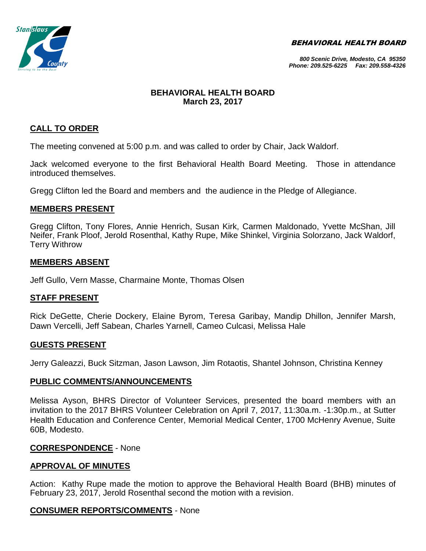BEHAVIORAL HEALTH BOARD



#### *800 Scenic Drive, Modesto, CA 95350 Phone: 209.525-6225 Fax: 209.558-4326*

# **BEHAVIORAL HEALTH BOARD March 23, 2017**

# **CALL TO ORDER**

The meeting convened at 5:00 p.m. and was called to order by Chair, Jack Waldorf.

Jack welcomed everyone to the first Behavioral Health Board Meeting. Those in attendance introduced themselves.

Gregg Clifton led the Board and members and the audience in the Pledge of Allegiance.

#### **MEMBERS PRESENT**

Gregg Clifton, Tony Flores, Annie Henrich, Susan Kirk, Carmen Maldonado, Yvette McShan, Jill Neifer, Frank Ploof, Jerold Rosenthal, Kathy Rupe, Mike Shinkel, Virginia Solorzano, Jack Waldorf, Terry Withrow

#### **MEMBERS ABSENT**

Jeff Gullo, Vern Masse, Charmaine Monte, Thomas Olsen

# **STAFF PRESENT**

Rick DeGette, Cherie Dockery, Elaine Byrom, Teresa Garibay, Mandip Dhillon, Jennifer Marsh, Dawn Vercelli, Jeff Sabean, Charles Yarnell, Cameo Culcasi, Melissa Hale

# **GUESTS PRESENT**

Jerry Galeazzi, Buck Sitzman, Jason Lawson, Jim Rotaotis, Shantel Johnson, Christina Kenney

#### **PUBLIC COMMENTS/ANNOUNCEMENTS**

Melissa Ayson, BHRS Director of Volunteer Services, presented the board members with an invitation to the 2017 BHRS Volunteer Celebration on April 7, 2017, 11:30a.m. -1:30p.m., at Sutter Health Education and Conference Center, Memorial Medical Center, 1700 McHenry Avenue, Suite 60B, Modesto.

# **CORRESPONDENCE** - None

# **APPROVAL OF MINUTES**

Action: Kathy Rupe made the motion to approve the Behavioral Health Board (BHB) minutes of February 23, 2017, Jerold Rosenthal second the motion with a revision.

# **CONSUMER REPORTS/COMMENTS** - None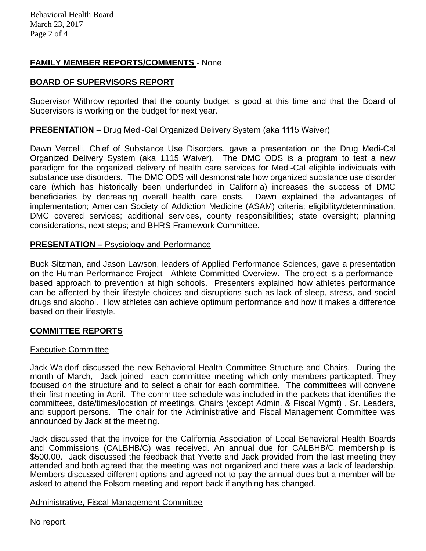# **FAMILY MEMBER REPORTS/COMMENTS** - None

# **BOARD OF SUPERVISORS REPORT**

Supervisor Withrow reported that the county budget is good at this time and that the Board of Supervisors is working on the budget for next year.

# **PRESENTATION** – Drug Medi-Cal Organized Delivery System (aka 1115 Waiver)

Dawn Vercelli, Chief of Substance Use Disorders, gave a presentation on the Drug Medi-Cal Organized Delivery System (aka 1115 Waiver). The DMC ODS is a program to test a new paradigm for the organized delivery of health care services for Medi-Cal eligible individuals with substance use disorders. The DMC ODS will desmonstrate how organized substance use disorder care (which has historically been underfunded in California) increases the success of DMC beneficiaries by decreasing overall health care costs. Dawn explained the advantages of implementation; American Society of Addiction Medicine (ASAM) criteria; eligibility/determination, DMC covered services; additional services, county responsibilities; state oversight; planning considerations, next steps; and BHRS Framework Committee.

# **PRESENTATION –** Psysiology and Performance

Buck Sitzman, and Jason Lawson, leaders of Applied Performance Sciences, gave a presentation on the Human Performance Project - Athlete Committed Overview. The project is a performancebased approach to prevention at high schools. Presenters explained how athletes performance can be affected by their lifestyle choices and disruptions such as lack of sleep, stress, and social drugs and alcohol. How athletes can achieve optimum performance and how it makes a difference based on their lifestyle.

# **COMMITTEE REPORTS**

# Executive Committee

Jack Waldorf discussed the new Behavioral Health Committee Structure and Chairs. During the month of March, Jack joined each committee meeting which only members particapted. They focused on the structure and to select a chair for each committee. The committees will convene their first meeting in April. The committee schedule was included in the packets that identifies the committees, date/times/location of meetings, Chairs (except Admin. & Fiscal Mgmt) , Sr. Leaders, and support persons. The chair for the Administrative and Fiscal Management Committee was announced by Jack at the meeting.

Jack discussed that the invoice for the California Association of Local Behavioral Health Boards and Commissions (CALBHB/C) was received. An annual due for CALBHB/C membership is \$500.00. Jack discussed the feedback that Yvette and Jack provided from the last meeting they attended and both agreed that the meeting was not organized and there was a lack of leadership. Members discussed different options and agreed not to pay the annual dues but a member will be asked to attend the Folsom meeting and report back if anything has changed.

# Administrative, Fiscal Management Committee

No report.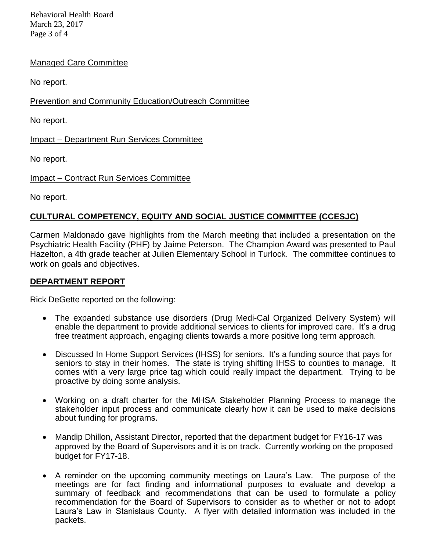Behavioral Health Board March 23, 2017 Page 3 of 4

# Managed Care Committee

No report.

Prevention and Community Education/Outreach Committee

No report.

Impact – Department Run Services Committee

No report.

Impact – Contract Run Services Committee

No report.

# **CULTURAL COMPETENCY, EQUITY AND SOCIAL JUSTICE COMMITTEE (CCESJC)**

Carmen Maldonado gave highlights from the March meeting that included a presentation on the Psychiatric Health Facility (PHF) by Jaime Peterson. The Champion Award was presented to Paul Hazelton, a 4th grade teacher at Julien Elementary School in Turlock. The committee continues to work on goals and objectives.

# **DEPARTMENT REPORT**

Rick DeGette reported on the following:

- The expanded substance use disorders (Drug Medi-Cal Organized Delivery System) will enable the department to provide additional services to clients for improved care. It's a drug free treatment approach, engaging clients towards a more positive long term approach.
- Discussed In Home Support Services (IHSS) for seniors. It's a funding source that pays for seniors to stay in their homes. The state is trying shifting IHSS to counties to manage. It comes with a very large price tag which could really impact the department. Trying to be proactive by doing some analysis.
- Working on a draft charter for the MHSA Stakeholder Planning Process to manage the stakeholder input process and communicate clearly how it can be used to make decisions about funding for programs.
- Mandip Dhillon, Assistant Director, reported that the department budget for FY16-17 was approved by the Board of Supervisors and it is on track. Currently working on the proposed budget for FY17-18.
- A reminder on the upcoming community meetings on Laura's Law. The purpose of the meetings are for fact finding and informational purposes to evaluate and develop a summary of feedback and recommendations that can be used to formulate a policy recommendation for the Board of Supervisors to consider as to whether or not to adopt Laura's Law in Stanislaus County. A flyer with detailed information was included in the packets.